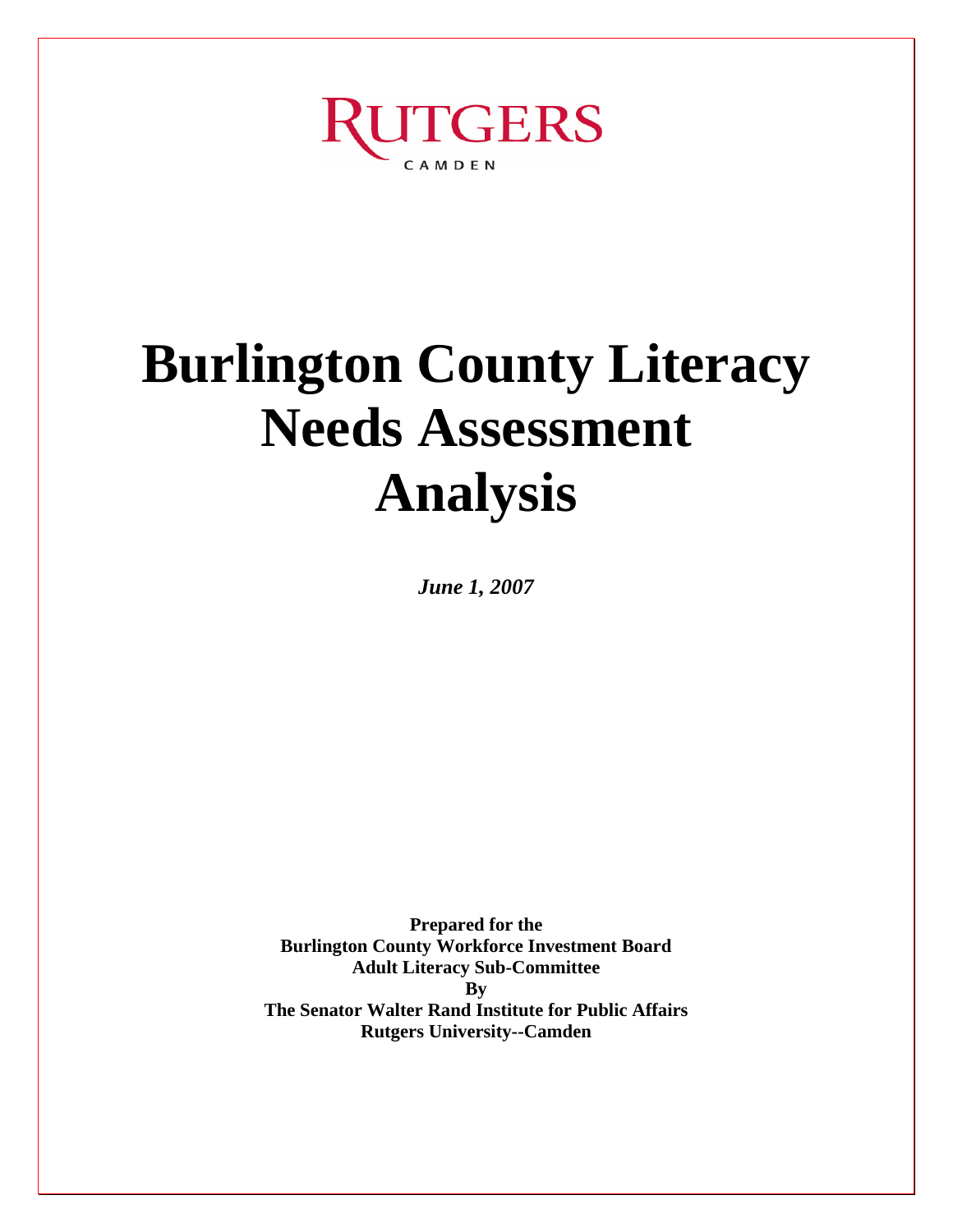

# **Burlington County Literacy Needs Assessment Analysis**

*June 1, 2007* 

**Prepared for the Burlington County Workforce Investment Board Adult Literacy Sub-Committee By The Senator Walter Rand Institute for Public Affairs Rutgers University--Camden**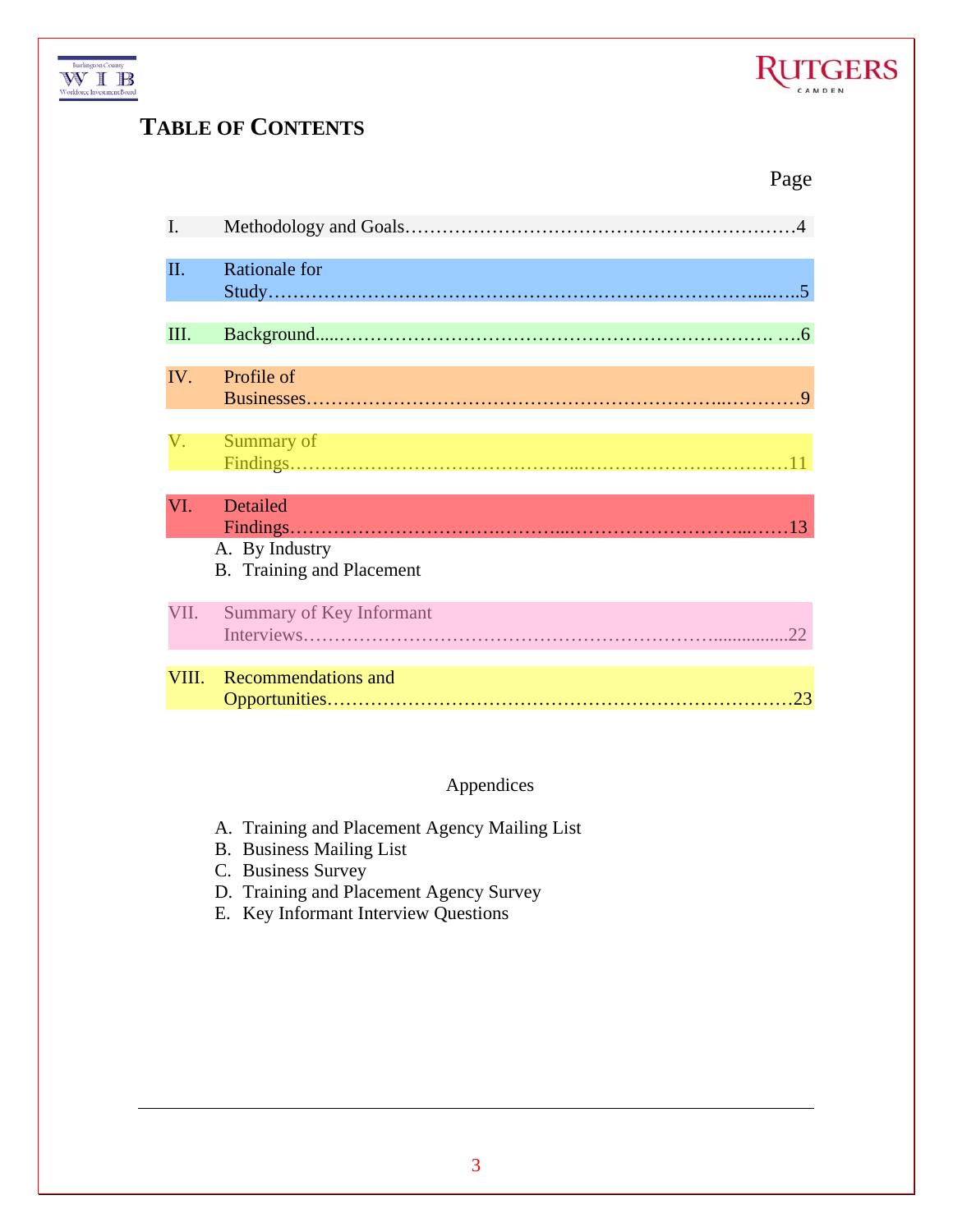



Page

# **TABLE OF CONTENTS**

| I.    |                                  |
|-------|----------------------------------|
|       |                                  |
| II.   | <b>Rationale for</b>             |
|       |                                  |
| III.  |                                  |
|       |                                  |
| IV.   | Profile of                       |
|       |                                  |
| V.    | Summary of                       |
|       |                                  |
|       |                                  |
| VI.   | Detailed                         |
|       | A. By Industry                   |
|       | <b>B.</b> Training and Placement |
| VII.  | Summary of Key Informant         |
|       | .22                              |
|       |                                  |
| VIII. | <b>Recommendations and</b><br>23 |
|       |                                  |

# Appendices

- A. Training and Placement Agency Mailing List
- B. Business Mailing List
- C. Business Survey
- D. Training and Placement Agency Survey
- E. Key Informant Interview Questions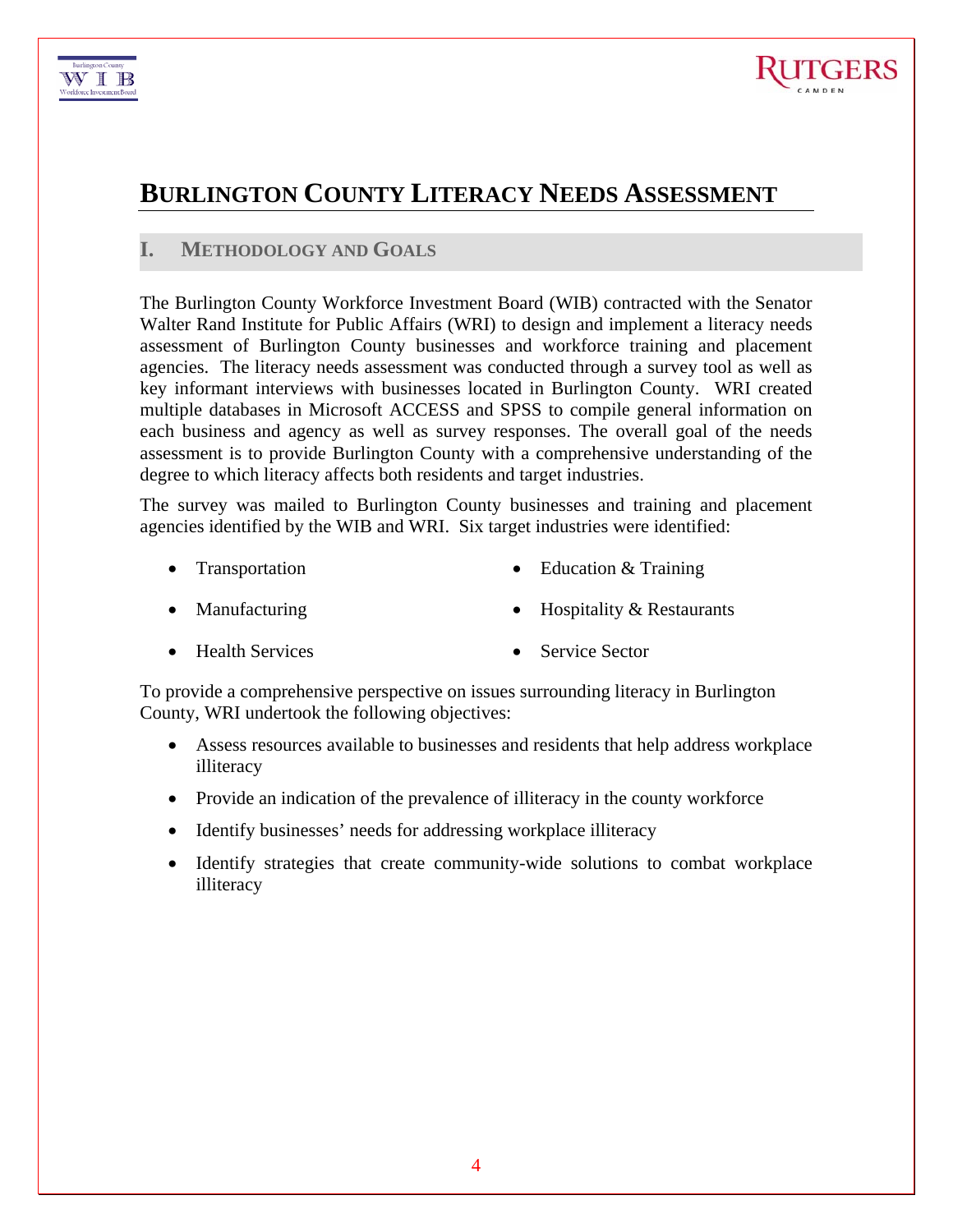



# **BURLINGTON COUNTY LITERACY NEEDS ASSESSMENT**

# **I. METHODOLOGY AND GOALS**

The Burlington County Workforce Investment Board (WIB) contracted with the Senator Walter Rand Institute for Public Affairs (WRI) to design and implement a literacy needs assessment of Burlington County businesses and workforce training and placement agencies. The literacy needs assessment was conducted through a survey tool as well as key informant interviews with businesses located in Burlington County. WRI created multiple databases in Microsoft ACCESS and SPSS to compile general information on each business and agency as well as survey responses. The overall goal of the needs assessment is to provide Burlington County with a comprehensive understanding of the degree to which literacy affects both residents and target industries.

The survey was mailed to Burlington County businesses and training and placement agencies identified by the WIB and WRI. Six target industries were identified:

- Transportation Education & Training
- Manufacturing Hospitality & Restaurants
	-
- Health Services Service Sector

To provide a comprehensive perspective on issues surrounding literacy in Burlington County, WRI undertook the following objectives:

- Assess resources available to businesses and residents that help address workplace illiteracy
- Provide an indication of the prevalence of illiteracy in the county workforce
- Identify businesses' needs for addressing workplace illiteracy
- Identify strategies that create community-wide solutions to combat workplace illiteracy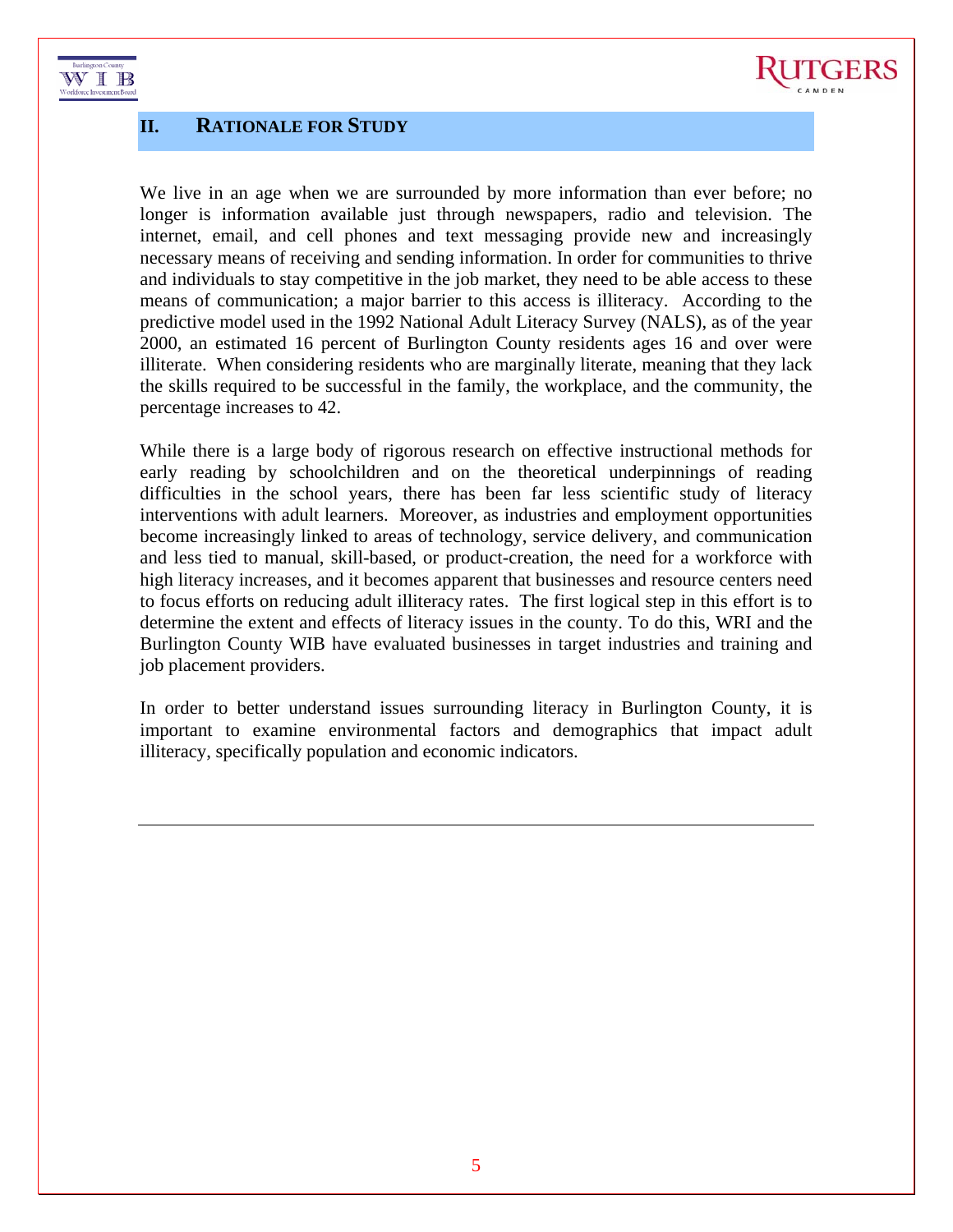



# **II. RATIONALE FOR STUDY**

We live in an age when we are surrounded by more information than ever before; no longer is information available just through newspapers, radio and television. The internet, email, and cell phones and text messaging provide new and increasingly necessary means of receiving and sending information. In order for communities to thrive and individuals to stay competitive in the job market, they need to be able access to these means of communication; a major barrier to this access is illiteracy. According to the predictive model used in the 1992 National Adult Literacy Survey (NALS), as of the year 2000, an estimated 16 percent of Burlington County residents ages 16 and over were illiterate. When considering residents who are marginally literate, meaning that they lack the skills required to be successful in the family, the workplace, and the community, the percentage increases to 42.

While there is a large body of rigorous research on effective instructional methods for early reading by schoolchildren and on the theoretical underpinnings of reading difficulties in the school years, there has been far less scientific study of literacy interventions with adult learners. Moreover, as industries and employment opportunities become increasingly linked to areas of technology, service delivery, and communication and less tied to manual, skill-based, or product-creation, the need for a workforce with high literacy increases, and it becomes apparent that businesses and resource centers need to focus efforts on reducing adult illiteracy rates. The first logical step in this effort is to determine the extent and effects of literacy issues in the county. To do this, WRI and the Burlington County WIB have evaluated businesses in target industries and training and job placement providers.

In order to better understand issues surrounding literacy in Burlington County, it is important to examine environmental factors and demographics that impact adult illiteracy, specifically population and economic indicators.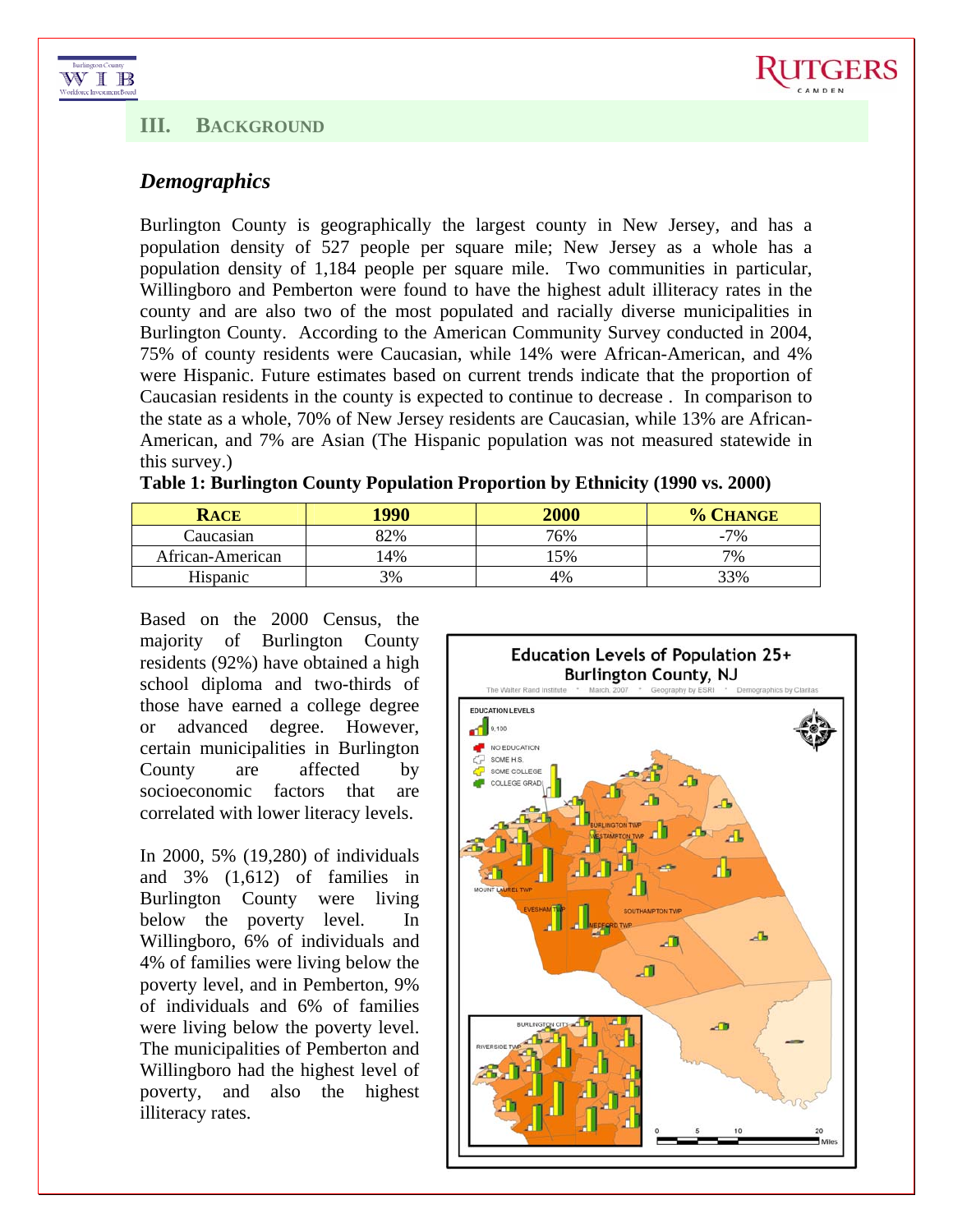# **III. BACKGROUND**



# *Demographics*

Workforce Investment Board

Burlington County is geographically the largest county in New Jersey, and has a population density of 527 people per square mile; New Jersey as a whole has a population density of 1,184 people per square mile. Two communities in particular, Willingboro and Pemberton were found to have the highest adult illiteracy rates in the county and are also two of the most populated and racially diverse municipalities in Burlington County. According to the American Community Survey conducted in 2004, 75% of county residents were Caucasian, while 14% were African-American, and 4% were Hispanic. Future estimates based on current trends indicate that the proportion of Caucasian residents in the county is expected to continue to decrease . In comparison to the state as a whole, 70% of New Jersey residents are Caucasian, while 13% are African-American, and 7% are Asian (The Hispanic population was not measured statewide in this survey.)

| Table 1: Burlington County Population Proportion by Ethnicity (1990 vs. 2000) |
|-------------------------------------------------------------------------------|
|-------------------------------------------------------------------------------|

| <b>RACE</b>      | 1990 | 2000 | % CHANGE |
|------------------|------|------|----------|
| Caucasian        | 82%  | 76%  | $-7%$    |
| African-American | 4%   | .5%  | 7%       |
| Hispanic         | 3%   | 4%   | 33%      |

Based on the 2000 Census, the majority of Burlington County residents (92%) have obtained a high school diploma and two-thirds of those have earned a college degree or advanced degree. However, certain municipalities in Burlington County are affected by socioeconomic factors that are correlated with lower literacy levels.

In 2000, 5% (19,280) of individuals and 3% (1,612) of families in Burlington County were living below the poverty level. In Willingboro, 6% of individuals and 4% of families were living below the poverty level, and in Pemberton, 9% of individuals and 6% of families were living below the poverty level. The municipalities of Pemberton and Willingboro had the highest level of poverty, and also the highest illiteracy rates.

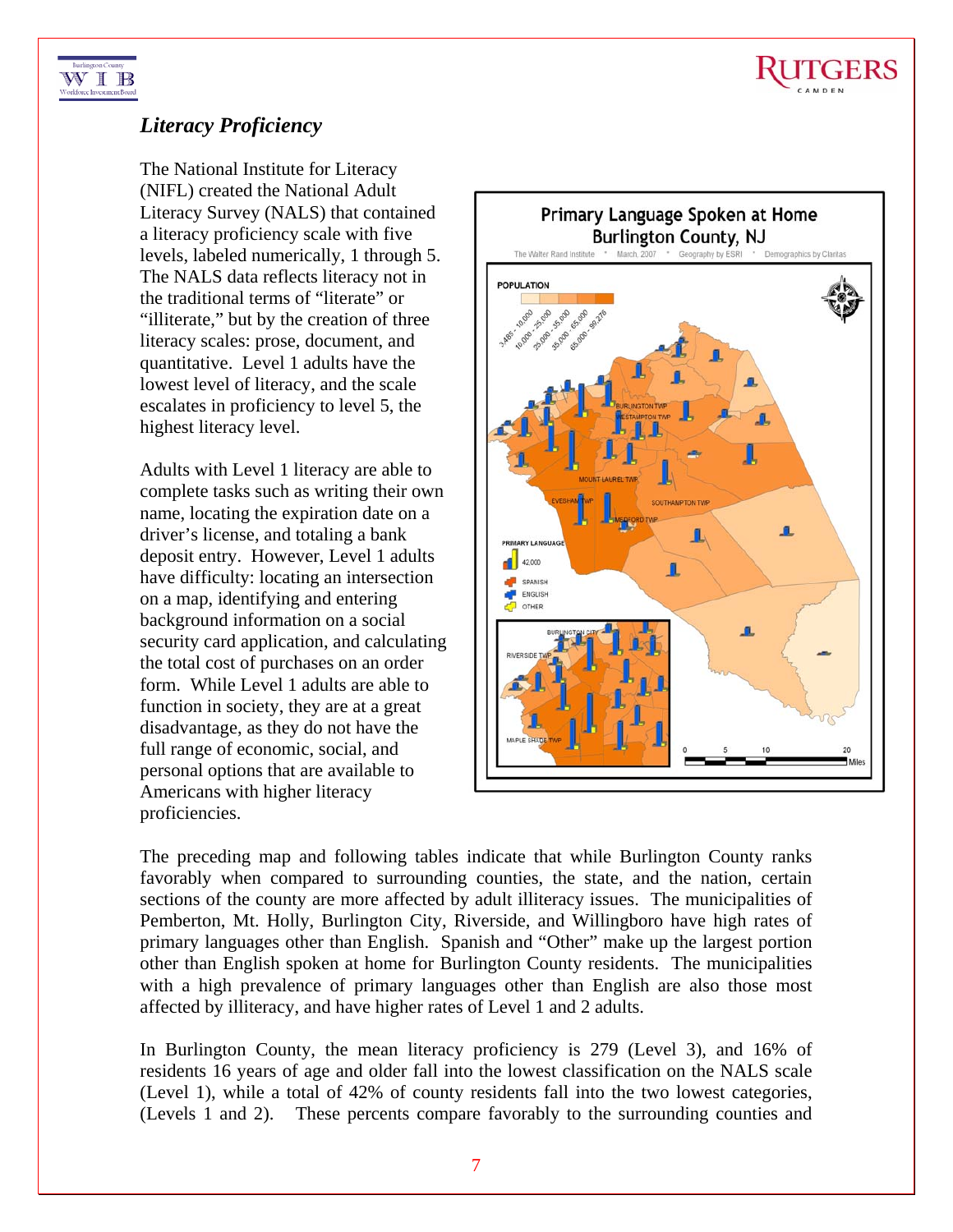

#### WIB Workforce Investment Board

# *Literacy Proficiency*

The National Institute for Literacy (NIFL) created the National Adult Literacy Survey (NALS) that contained a literacy proficiency scale with five levels, labeled numerically, 1 through 5. The NALS data reflects literacy not in the traditional terms of "literate" or "illiterate," but by the creation of three literacy scales: prose, document, and quantitative. Level 1 adults have the lowest level of literacy, and the scale escalates in proficiency to level 5, the highest literacy level.

Adults with Level 1 literacy are able to complete tasks such as writing their own name, locating the expiration date on a driver's license, and totaling a bank deposit entry. However, Level 1 adults have difficulty: locating an intersection on a map, identifying and entering background information on a social security card application, and calculating the total cost of purchases on an order form. While Level 1 adults are able to function in society, they are at a great disadvantage, as they do not have the full range of economic, social, and personal options that are available to Americans with higher literacy proficiencies.



The preceding map and following tables indicate that while Burlington County ranks favorably when compared to surrounding counties, the state, and the nation, certain sections of the county are more affected by adult illiteracy issues. The municipalities of Pemberton, Mt. Holly, Burlington City, Riverside, and Willingboro have high rates of primary languages other than English. Spanish and "Other" make up the largest portion other than English spoken at home for Burlington County residents. The municipalities with a high prevalence of primary languages other than English are also those most affected by illiteracy, and have higher rates of Level 1 and 2 adults.

In Burlington County, the mean literacy proficiency is 279 (Level 3), and 16% of residents 16 years of age and older fall into the lowest classification on the NALS scale (Level 1), while a total of 42% of county residents fall into the two lowest categories, (Levels 1 and 2). These percents compare favorably to the surrounding counties and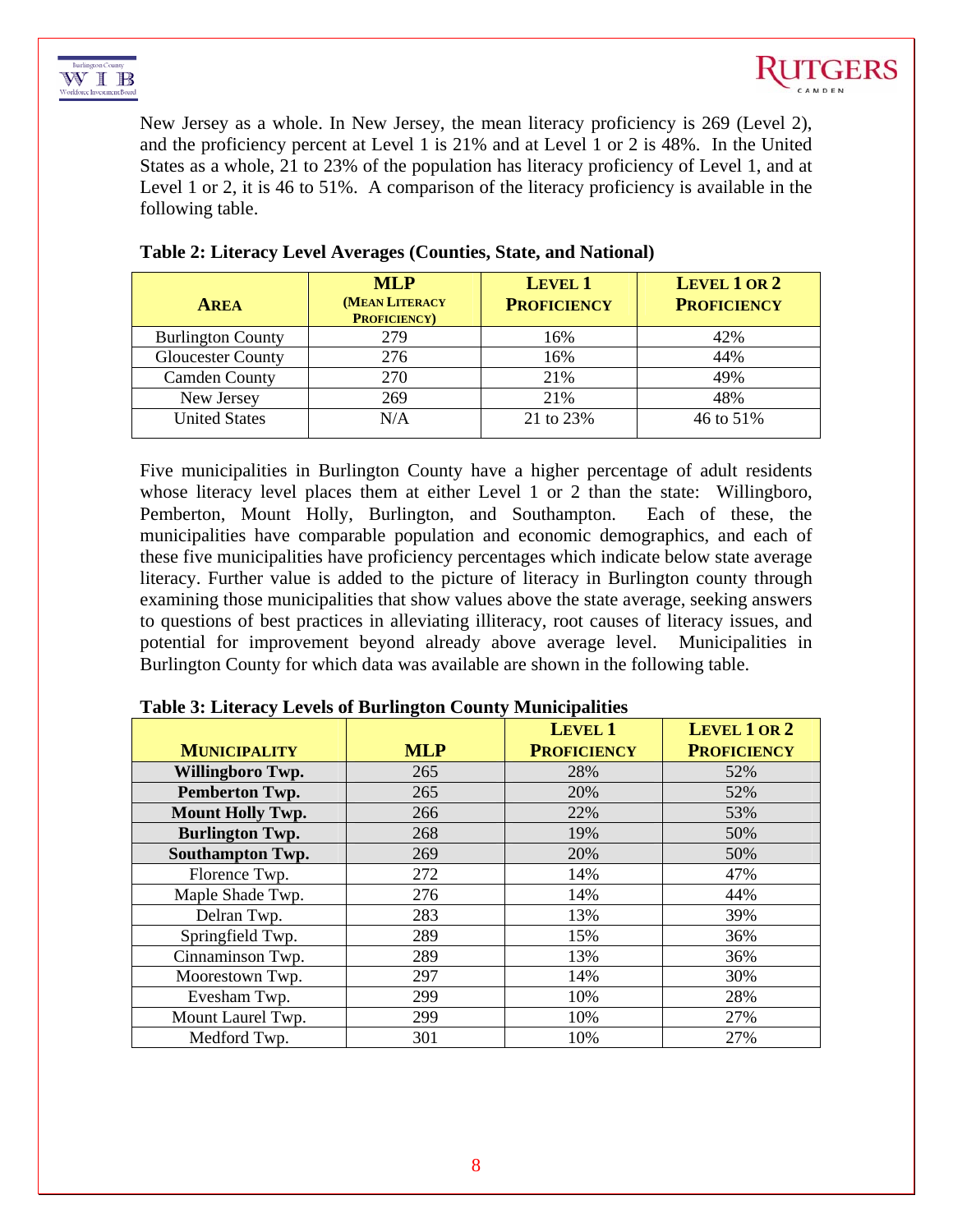



New Jersey as a whole. In New Jersey, the mean literacy proficiency is 269 (Level 2), and the proficiency percent at Level 1 is 21% and at Level 1 or 2 is 48%. In the United States as a whole, 21 to 23% of the population has literacy proficiency of Level 1, and at Level 1 or 2, it is 46 to 51%. A comparison of the literacy proficiency is available in the following table.

| <b>AREA</b>              | <b>MLP</b><br>(MEAN LITERACY<br><b>PROFICIENCY</b> ) | <b>LEVEL 1</b><br><b>PROFICIENCY</b> | LEVEL 1 OR 2<br><b>PROFICIENCY</b> |
|--------------------------|------------------------------------------------------|--------------------------------------|------------------------------------|
| <b>Burlington County</b> | 279                                                  | 16%                                  | 42%                                |
| <b>Gloucester County</b> | 276                                                  | 16%                                  | 44%                                |
| <b>Camden County</b>     | 270                                                  | 21%                                  | 49%                                |
| New Jersey               | 269                                                  | 21%                                  | 48%                                |
| <b>United States</b>     | N/A                                                  | 21 to 23%                            | 46 to 51%                          |

# **Table 2: Literacy Level Averages (Counties, State, and National)**

Five municipalities in Burlington County have a higher percentage of adult residents whose literacy level places them at either Level 1 or 2 than the state: Willingboro, Pemberton, Mount Holly, Burlington, and Southampton. Each of these, the municipalities have comparable population and economic demographics, and each of these five municipalities have proficiency percentages which indicate below state average literacy. Further value is added to the picture of literacy in Burlington county through examining those municipalities that show values above the state average, seeking answers to questions of best practices in alleviating illiteracy, root causes of literacy issues, and potential for improvement beyond already above average level. Municipalities in Burlington County for which data was available are shown in the following table.

| Table 5: Enclary Ecvels of Burnington County municipalities |            |                    |                    |
|-------------------------------------------------------------|------------|--------------------|--------------------|
|                                                             |            | <b>LEVEL 1</b>     | LEVEL 1 OR 2       |
| <b>MUNICIPALITY</b>                                         | <b>MLP</b> | <b>PROFICIENCY</b> | <b>PROFICIENCY</b> |
| Willingboro Twp.                                            | 265        | 28%                | 52%                |
| Pemberton Twp.                                              | 265        | 20%                | 52%                |
| <b>Mount Holly Twp.</b>                                     | 266        | 22%                | 53%                |
| <b>Burlington Twp.</b>                                      | 268        | 19%                | 50%                |
| <b>Southampton Twp.</b>                                     | 269        | 20%                | 50%                |
| Florence Twp.                                               | 272        | 14%                | 47%                |
| Maple Shade Twp.                                            | 276        | 14%                | 44%                |
| Delran Twp.                                                 | 283        | 13%                | 39%                |
| Springfield Twp.                                            | 289        | 15%                | 36%                |
| Cinnaminson Twp.                                            | 289        | 13%                | 36%                |
| Moorestown Twp.                                             | 297        | 14%                | 30%                |
| Evesham Twp.                                                | 299        | 10%                | 28%                |
| Mount Laurel Twp.                                           | 299        | 10%                | 27%                |
| Medford Twp.                                                | 301        | 10%                | 27%                |

#### **Table 3: Literacy Levels of Burlington County Municipalities**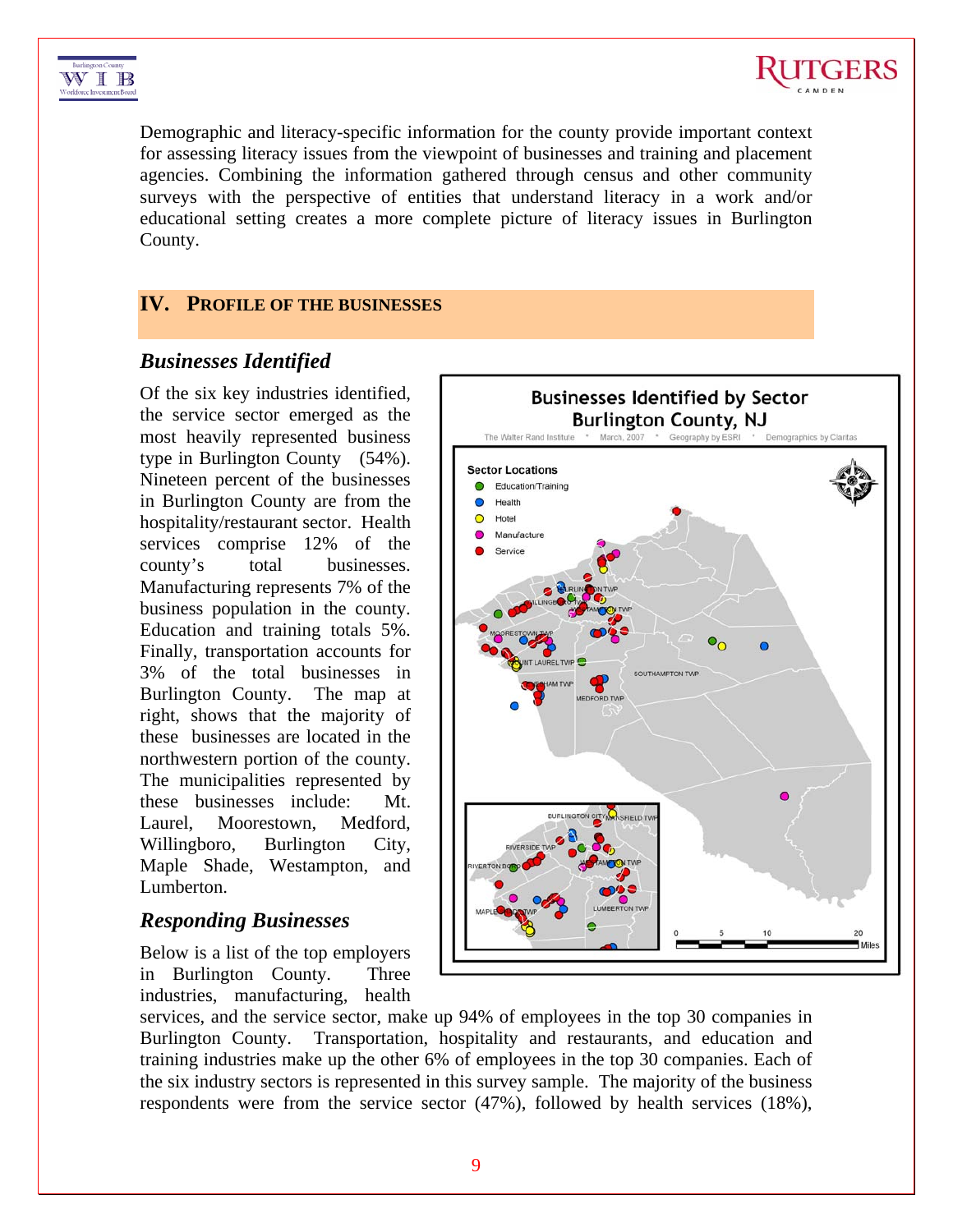



Demographic and literacy-specific information for the county provide important context for assessing literacy issues from the viewpoint of businesses and training and placement agencies. Combining the information gathered through census and other community surveys with the perspective of entities that understand literacy in a work and/or educational setting creates a more complete picture of literacy issues in Burlington County.

# **IV. PROFILE OF THE BUSINESSES**

# *Businesses Identified*

Of the six key industries identified, the service sector emerged as the most heavily represented business type in Burlington County (54%). Nineteen percent of the businesses in Burlington County are from the hospitality/restaurant sector. Health services comprise 12% of the county's total businesses. Manufacturing represents 7% of the business population in the county. Education and training totals 5%. Finally, transportation accounts for 3% of the total businesses in Burlington County. The map at right, shows that the majority of these businesses are located in the northwestern portion of the county. The municipalities represented by these businesses include: Mt. Laurel, Moorestown, Medford, Willingboro, Burlington City, Maple Shade, Westampton, and Lumberton.

# *Responding Businesses*

Below is a list of the top employers in Burlington County. Three industries, manufacturing, health



services, and the service sector, make up 94% of employees in the top 30 companies in Burlington County. Transportation, hospitality and restaurants, and education and training industries make up the other 6% of employees in the top 30 companies. Each of the six industry sectors is represented in this survey sample. The majority of the business respondents were from the service sector (47%), followed by health services (18%),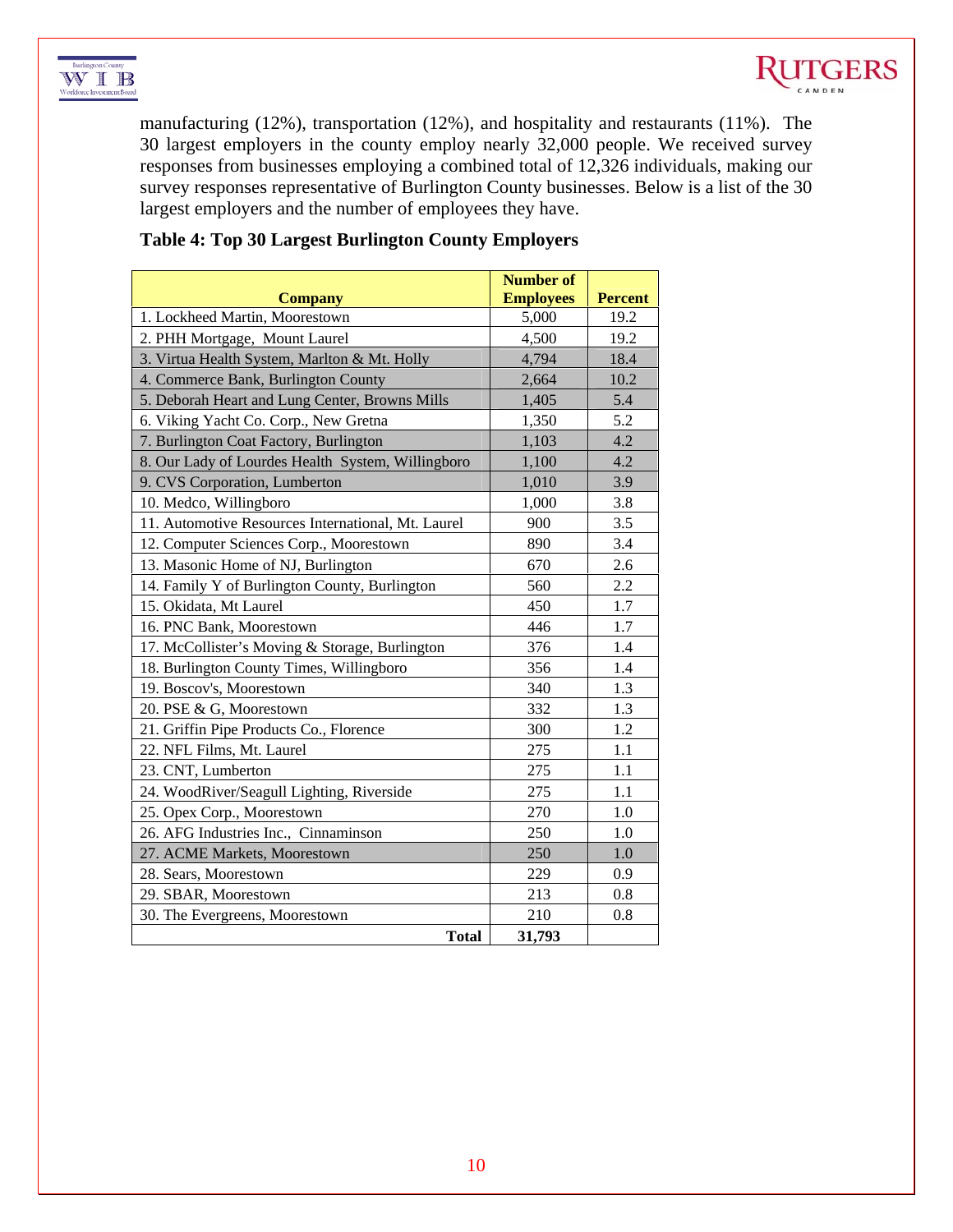



manufacturing (12%), transportation (12%), and hospitality and restaurants (11%). The 30 largest employers in the county employ nearly 32,000 people. We received survey responses from businesses employing a combined total of 12,326 individuals, making our survey responses representative of Burlington County businesses. Below is a list of the 30 largest employers and the number of employees they have.

|                                                    | <b>Number of</b> |                |
|----------------------------------------------------|------------------|----------------|
| <b>Company</b>                                     | <b>Employees</b> | <b>Percent</b> |
| 1. Lockheed Martin, Moorestown                     | 5,000            | 19.2           |
| 2. PHH Mortgage, Mount Laurel                      | 4,500            | 19.2           |
| 3. Virtua Health System, Marlton & Mt. Holly       | 4,794            | 18.4           |
| 4. Commerce Bank, Burlington County                | 2,664            | 10.2           |
| 5. Deborah Heart and Lung Center, Browns Mills     | 1,405            | 5.4            |
| 6. Viking Yacht Co. Corp., New Gretna              | 1,350            | 5.2            |
| 7. Burlington Coat Factory, Burlington             | 1,103            | 4.2            |
| 8. Our Lady of Lourdes Health System, Willingboro  | 1,100            | 4.2            |
| 9. CVS Corporation, Lumberton                      | 1,010            | 3.9            |
| 10. Medco, Willingboro                             | 1,000            | 3.8            |
| 11. Automotive Resources International, Mt. Laurel | 900              | 3.5            |
| 12. Computer Sciences Corp., Moorestown            | 890              | 3.4            |
| 13. Masonic Home of NJ, Burlington                 | 670              | 2.6            |
| 14. Family Y of Burlington County, Burlington      | 560              | 2.2            |
| 15. Okidata, Mt Laurel                             | 450              | 1.7            |
| 16. PNC Bank, Moorestown                           | 446              | 1.7            |
| 17. McCollister's Moving & Storage, Burlington     | 376              | 1.4            |
| 18. Burlington County Times, Willingboro           | 356              | 1.4            |
| 19. Boscov's, Moorestown                           | 340              | 1.3            |
| 20. PSE & G, Moorestown                            | 332              | 1.3            |
| 21. Griffin Pipe Products Co., Florence            | 300              | 1.2            |
| 22. NFL Films, Mt. Laurel                          | 275              | 1.1            |
| 23. CNT, Lumberton                                 | 275              | $1.1\,$        |
| 24. WoodRiver/Seagull Lighting, Riverside          | 275              | 1.1            |
| 25. Opex Corp., Moorestown                         | 270              | 1.0            |
| 26. AFG Industries Inc., Cinnaminson               | 250              | 1.0            |
| 27. ACME Markets, Moorestown                       | 250              | 1.0            |
| 28. Sears, Moorestown                              | 229              | 0.9            |
| 29. SBAR, Moorestown                               | 213              | 0.8            |
| 30. The Evergreens, Moorestown                     | 210              | 0.8            |
| <b>Total</b>                                       | 31,793           |                |

# **Table 4: Top 30 Largest Burlington County Employers**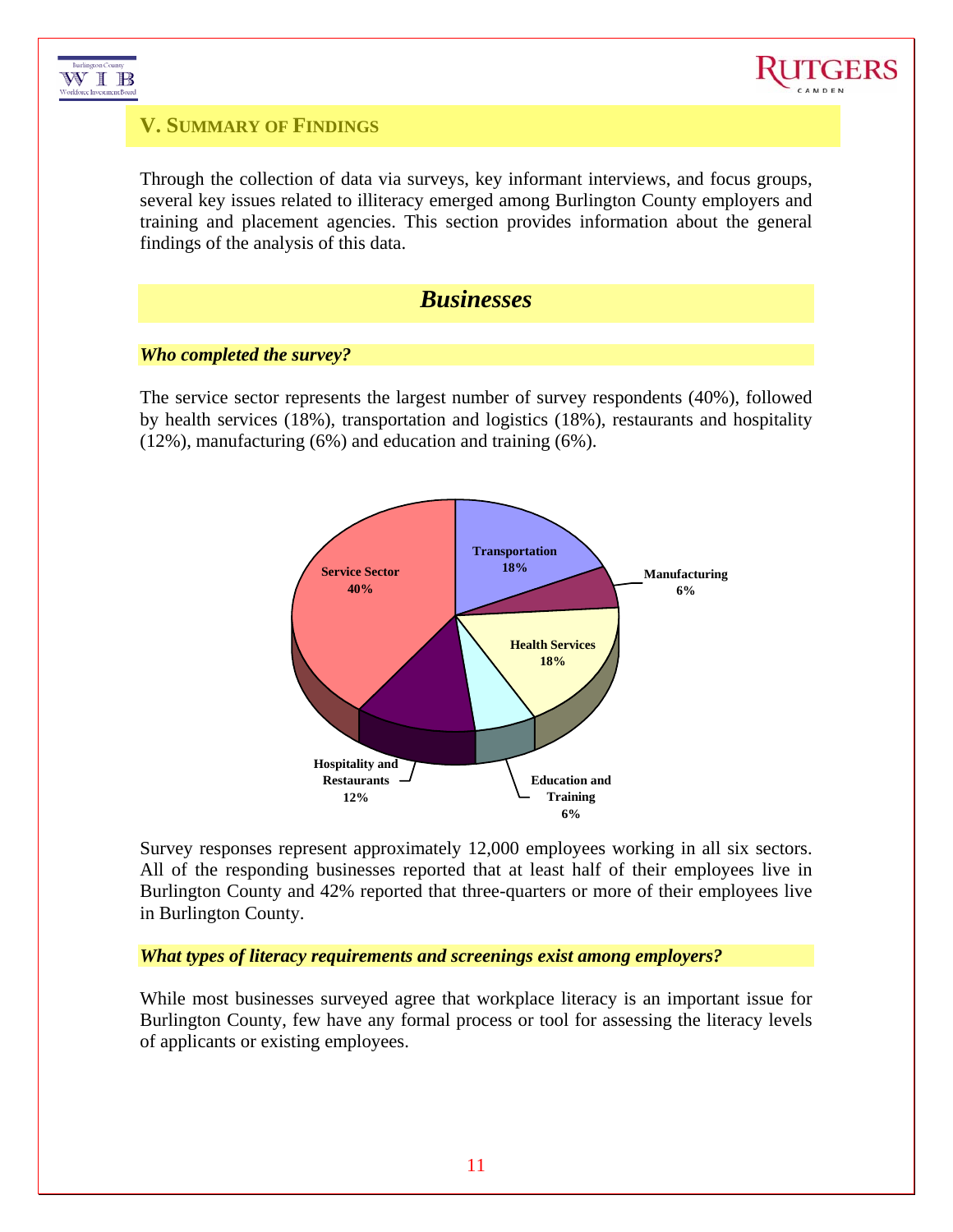



# **V. SUMMARY OF FINDINGS**

Through the collection of data via surveys, key informant interviews, and focus groups, several key issues related to illiteracy emerged among Burlington County employers and training and placement agencies. This section provides information about the general findings of the analysis of this data.

# *Businesses*

#### *Who completed the survey?*

The service sector represents the largest number of survey respondents (40%), followed by health services (18%), transportation and logistics (18%), restaurants and hospitality (12%), manufacturing (6%) and education and training (6%).



Survey responses represent approximately 12,000 employees working in all six sectors. All of the responding businesses reported that at least half of their employees live in Burlington County and 42% reported that three-quarters or more of their employees live in Burlington County.

#### *What types of literacy requirements and screenings exist among employers?*

While most businesses surveyed agree that workplace literacy is an important issue for Burlington County, few have any formal process or tool for assessing the literacy levels of applicants or existing employees.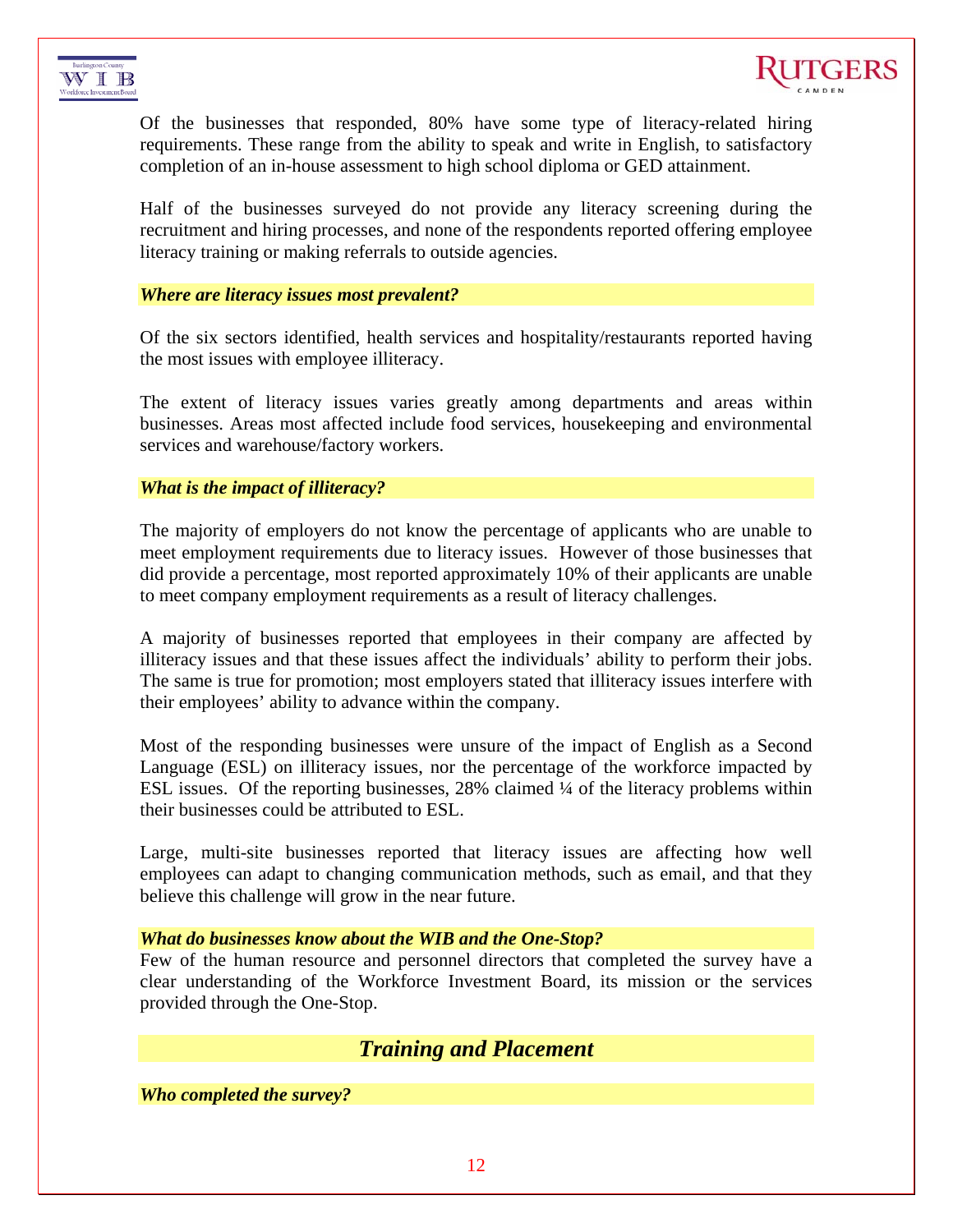



Of the businesses that responded, 80% have some type of literacy-related hiring requirements. These range from the ability to speak and write in English, to satisfactory completion of an in-house assessment to high school diploma or GED attainment.

Half of the businesses surveyed do not provide any literacy screening during the recruitment and hiring processes, and none of the respondents reported offering employee literacy training or making referrals to outside agencies.

#### *Where are literacy issues most prevalent?*

Of the six sectors identified, health services and hospitality/restaurants reported having the most issues with employee illiteracy.

The extent of literacy issues varies greatly among departments and areas within businesses. Areas most affected include food services, housekeeping and environmental services and warehouse/factory workers.

#### *What is the impact of illiteracy?*

The majority of employers do not know the percentage of applicants who are unable to meet employment requirements due to literacy issues. However of those businesses that did provide a percentage, most reported approximately 10% of their applicants are unable to meet company employment requirements as a result of literacy challenges.

A majority of businesses reported that employees in their company are affected by illiteracy issues and that these issues affect the individuals' ability to perform their jobs. The same is true for promotion; most employers stated that illiteracy issues interfere with their employees' ability to advance within the company.

Most of the responding businesses were unsure of the impact of English as a Second Language (ESL) on illiteracy issues, nor the percentage of the workforce impacted by ESL issues. Of the reporting businesses, 28% claimed ¼ of the literacy problems within their businesses could be attributed to ESL.

Large, multi-site businesses reported that literacy issues are affecting how well employees can adapt to changing communication methods, such as email, and that they believe this challenge will grow in the near future.

#### *What do businesses know about the WIB and the One-Stop?*

Few of the human resource and personnel directors that completed the survey have a clear understanding of the Workforce Investment Board, its mission or the services provided through the One-Stop.

# *Training and Placement*

*Who completed the survey?*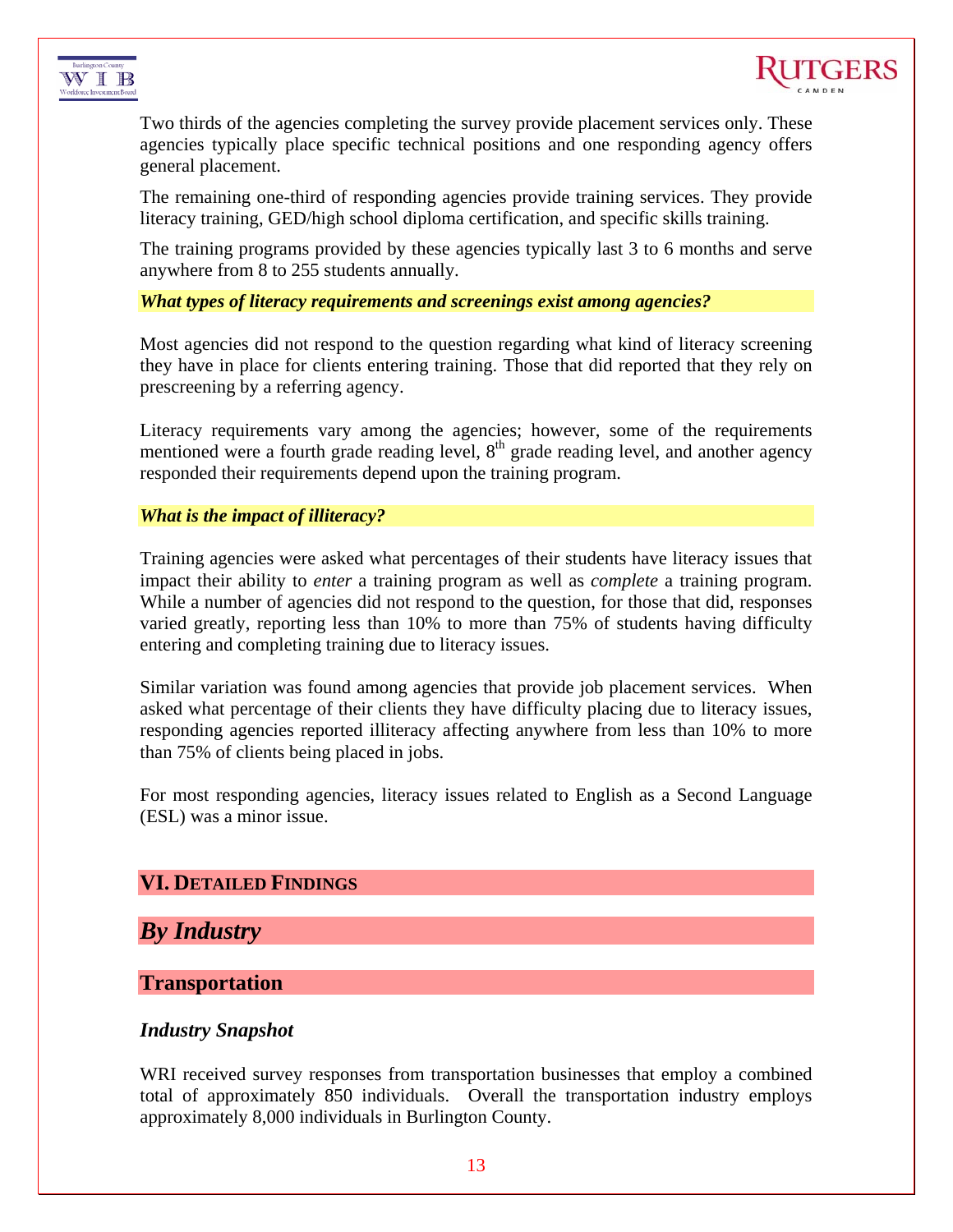



Two thirds of the agencies completing the survey provide placement services only. These agencies typically place specific technical positions and one responding agency offers general placement.

The remaining one-third of responding agencies provide training services. They provide literacy training, GED/high school diploma certification, and specific skills training.

The training programs provided by these agencies typically last 3 to 6 months and serve anywhere from 8 to 255 students annually.

*What types of literacy requirements and screenings exist among agencies?* 

Most agencies did not respond to the question regarding what kind of literacy screening they have in place for clients entering training. Those that did reported that they rely on prescreening by a referring agency.

Literacy requirements vary among the agencies; however, some of the requirements mentioned were a fourth grade reading level, 8<sup>th</sup> grade reading level, and another agency responded their requirements depend upon the training program.

#### *What is the impact of illiteracy?*

Training agencies were asked what percentages of their students have literacy issues that impact their ability to *enter* a training program as well as *complete* a training program. While a number of agencies did not respond to the question, for those that did, responses varied greatly, reporting less than 10% to more than 75% of students having difficulty entering and completing training due to literacy issues.

Similar variation was found among agencies that provide job placement services. When asked what percentage of their clients they have difficulty placing due to literacy issues, responding agencies reported illiteracy affecting anywhere from less than 10% to more than 75% of clients being placed in jobs.

For most responding agencies, literacy issues related to English as a Second Language (ESL) was a minor issue.

# **VI. DETAILED FINDINGS**

*By Industry* 

#### **Transportation**

#### *Industry Snapshot*

WRI received survey responses from transportation businesses that employ a combined total of approximately 850 individuals. Overall the transportation industry employs approximately 8,000 individuals in Burlington County.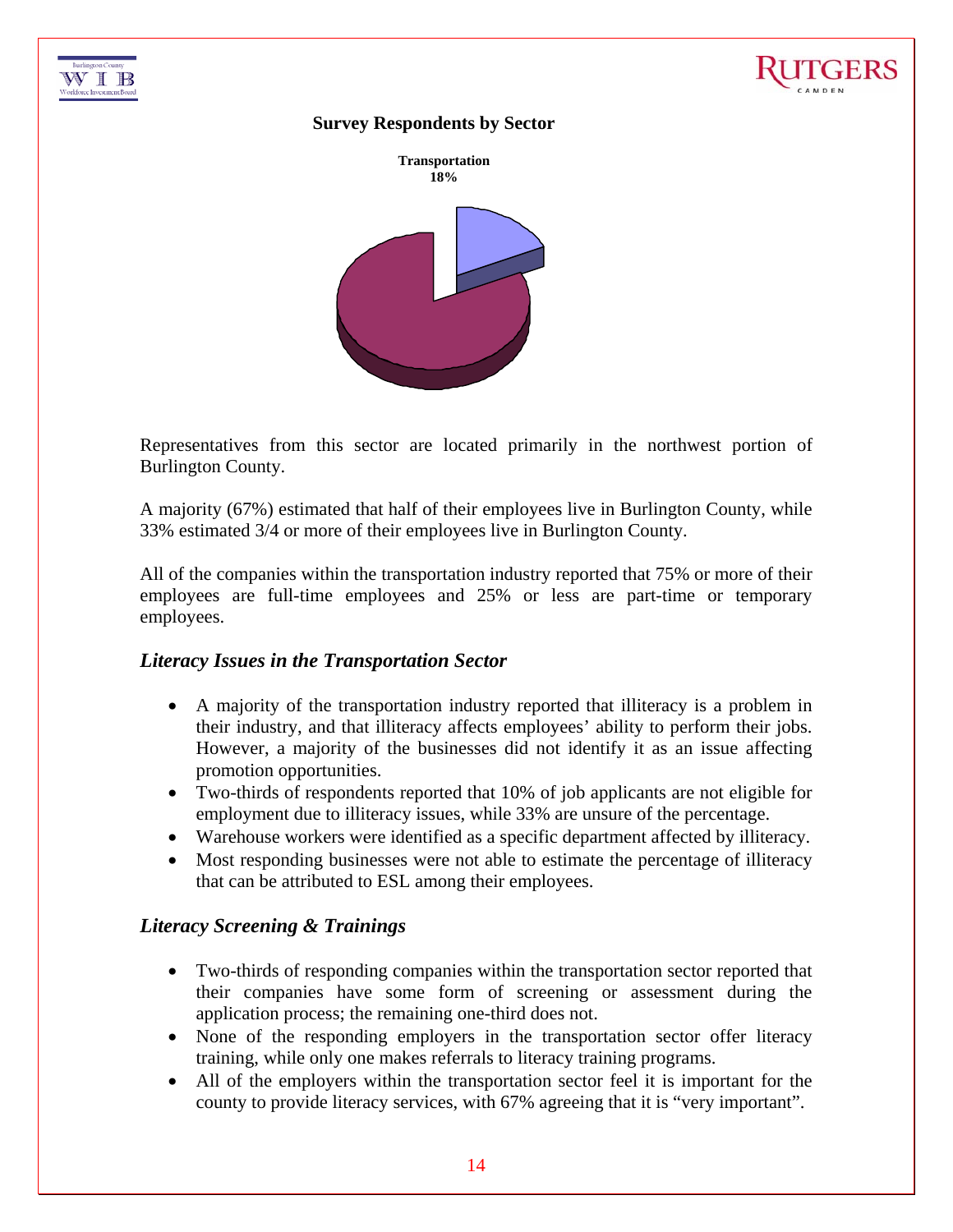

#### **Survey Respondents by Sector**



Representatives from this sector are located primarily in the northwest portion of Burlington County.

A majority (67%) estimated that half of their employees live in Burlington County, while 33% estimated 3/4 or more of their employees live in Burlington County.

All of the companies within the transportation industry reported that 75% or more of their employees are full-time employees and 25% or less are part-time or temporary employees.

#### *Literacy Issues in the Transportation Sector*

- A majority of the transportation industry reported that illiteracy is a problem in their industry, and that illiteracy affects employees' ability to perform their jobs. However, a majority of the businesses did not identify it as an issue affecting promotion opportunities.
- Two-thirds of respondents reported that 10% of job applicants are not eligible for employment due to illiteracy issues, while 33% are unsure of the percentage.
- Warehouse workers were identified as a specific department affected by illiteracy.
- Most responding businesses were not able to estimate the percentage of illiteracy that can be attributed to ESL among their employees.

#### *Literacy Screening & Trainings*

- Two-thirds of responding companies within the transportation sector reported that their companies have some form of screening or assessment during the application process; the remaining one-third does not.
- None of the responding employers in the transportation sector offer literacy training, while only one makes referrals to literacy training programs.
- All of the employers within the transportation sector feel it is important for the county to provide literacy services, with 67% agreeing that it is "very important".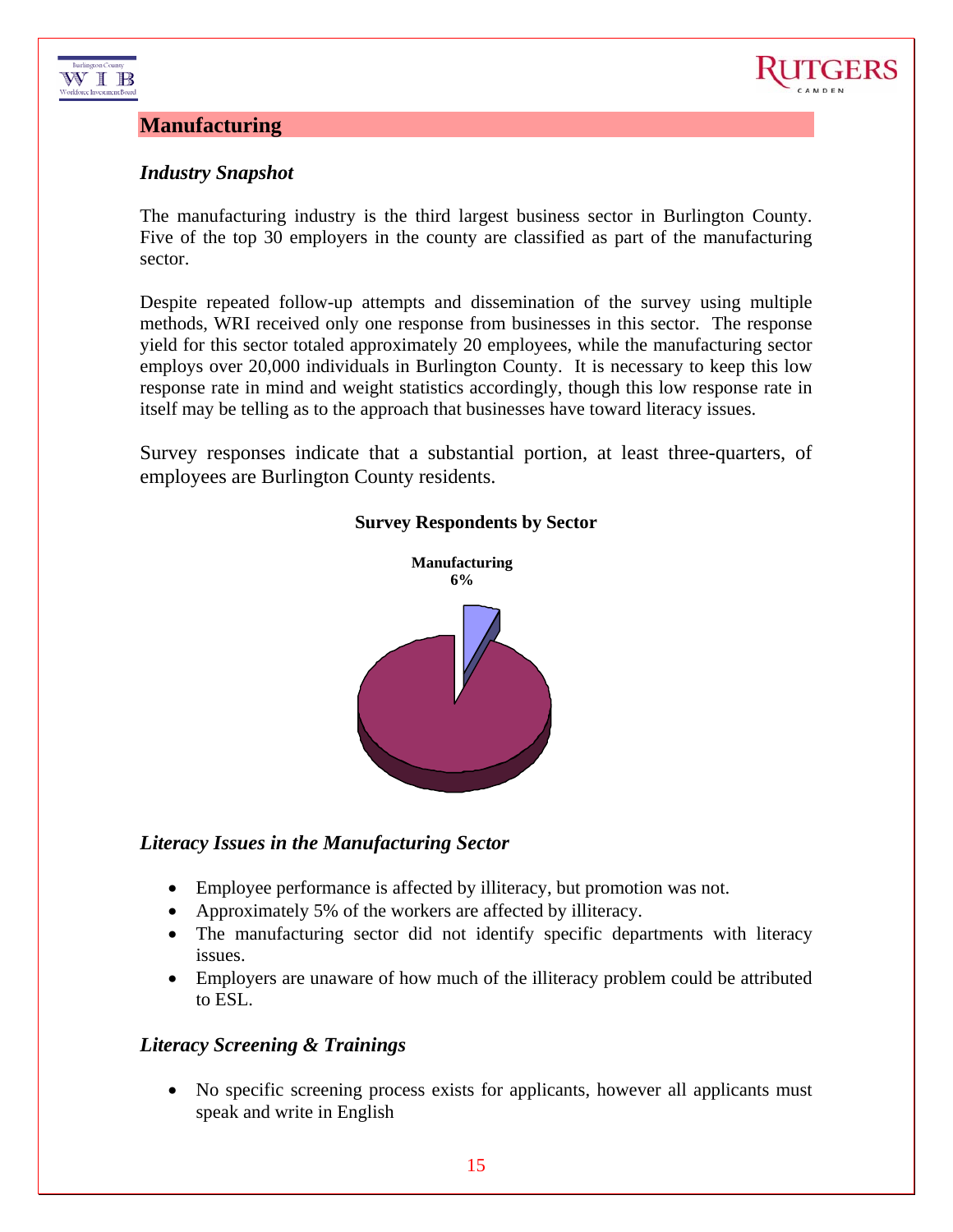

# **Manufacturing**

Workforce Investment Board

# *Industry Snapshot*

The manufacturing industry is the third largest business sector in Burlington County. Five of the top 30 employers in the county are classified as part of the manufacturing sector.

Despite repeated follow-up attempts and dissemination of the survey using multiple methods, WRI received only one response from businesses in this sector. The response yield for this sector totaled approximately 20 employees, while the manufacturing sector employs over 20,000 individuals in Burlington County. It is necessary to keep this low response rate in mind and weight statistics accordingly, though this low response rate in itself may be telling as to the approach that businesses have toward literacy issues.

Survey responses indicate that a substantial portion, at least three-quarters, of employees are Burlington County residents.



#### **Survey Respondents by Sector**

#### *Literacy Issues in the Manufacturing Sector*

- Employee performance is affected by illiteracy, but promotion was not.
- Approximately 5% of the workers are affected by illiteracy.
- The manufacturing sector did not identify specific departments with literacy issues.
- Employers are unaware of how much of the illiteracy problem could be attributed to ESL.

#### *Literacy Screening & Trainings*

• No specific screening process exists for applicants, however all applicants must speak and write in English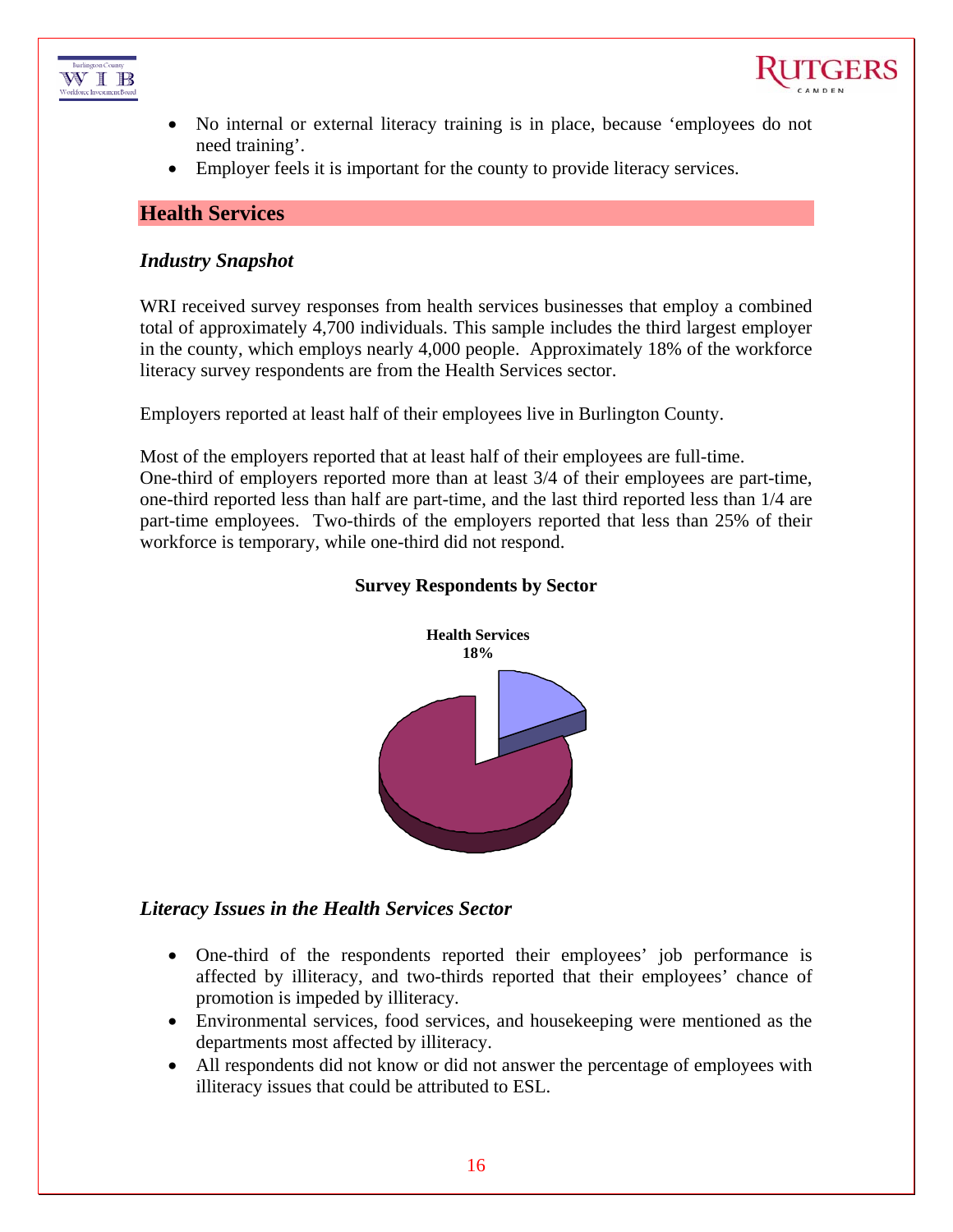



- No internal or external literacy training is in place, because 'employees do not need training'.
- Employer feels it is important for the county to provide literacy services.

# **Health Services**

# *Industry Snapshot*

WRI received survey responses from health services businesses that employ a combined total of approximately 4,700 individuals. This sample includes the third largest employer in the county, which employs nearly 4,000 people. Approximately 18% of the workforce literacy survey respondents are from the Health Services sector.

Employers reported at least half of their employees live in Burlington County.

Most of the employers reported that at least half of their employees are full-time. One-third of employers reported more than at least 3/4 of their employees are part-time, one-third reported less than half are part-time, and the last third reported less than 1/4 are part-time employees. Two-thirds of the employers reported that less than 25% of their workforce is temporary, while one-third did not respond.



#### **Survey Respondents by Sector**

# *Literacy Issues in the Health Services Sector*

- One-third of the respondents reported their employees' job performance is affected by illiteracy, and two-thirds reported that their employees' chance of promotion is impeded by illiteracy.
- Environmental services, food services, and housekeeping were mentioned as the departments most affected by illiteracy.
- All respondents did not know or did not answer the percentage of employees with illiteracy issues that could be attributed to ESL.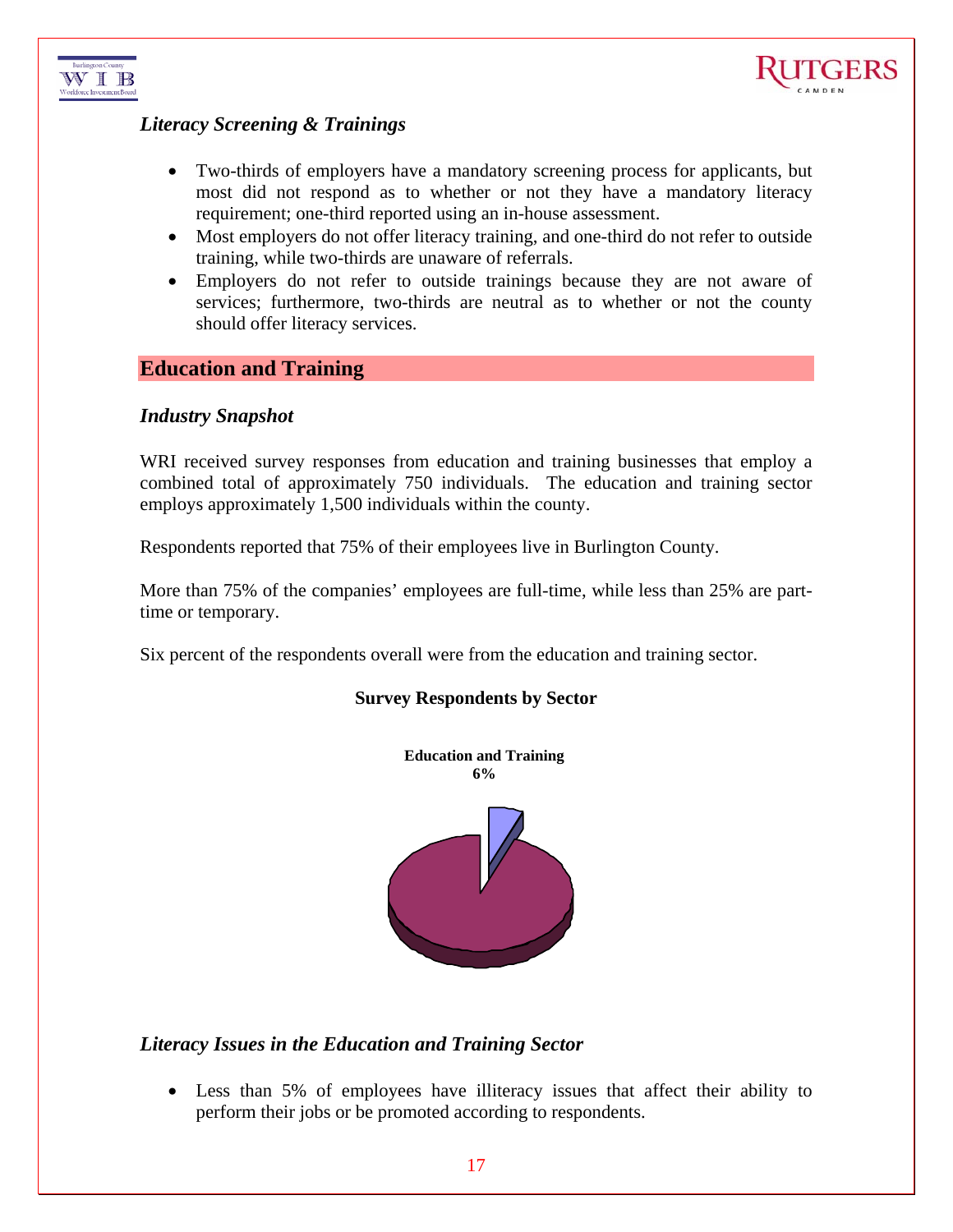



# *Literacy Screening & Trainings*

- Two-thirds of employers have a mandatory screening process for applicants, but most did not respond as to whether or not they have a mandatory literacy requirement; one-third reported using an in-house assessment.
- Most employers do not offer literacy training, and one-third do not refer to outside training, while two-thirds are unaware of referrals.
- Employers do not refer to outside trainings because they are not aware of services; furthermore, two-thirds are neutral as to whether or not the county should offer literacy services.

# **Education and Training**

#### *Industry Snapshot*

WRI received survey responses from education and training businesses that employ a combined total of approximately 750 individuals. The education and training sector employs approximately 1,500 individuals within the county.

Respondents reported that 75% of their employees live in Burlington County.

More than 75% of the companies' employees are full-time, while less than 25% are parttime or temporary.

Six percent of the respondents overall were from the education and training sector.

#### **Survey Respondents by Sector**



# *Literacy Issues in the Education and Training Sector*

• Less than 5% of employees have illiteracy issues that affect their ability to perform their jobs or be promoted according to respondents.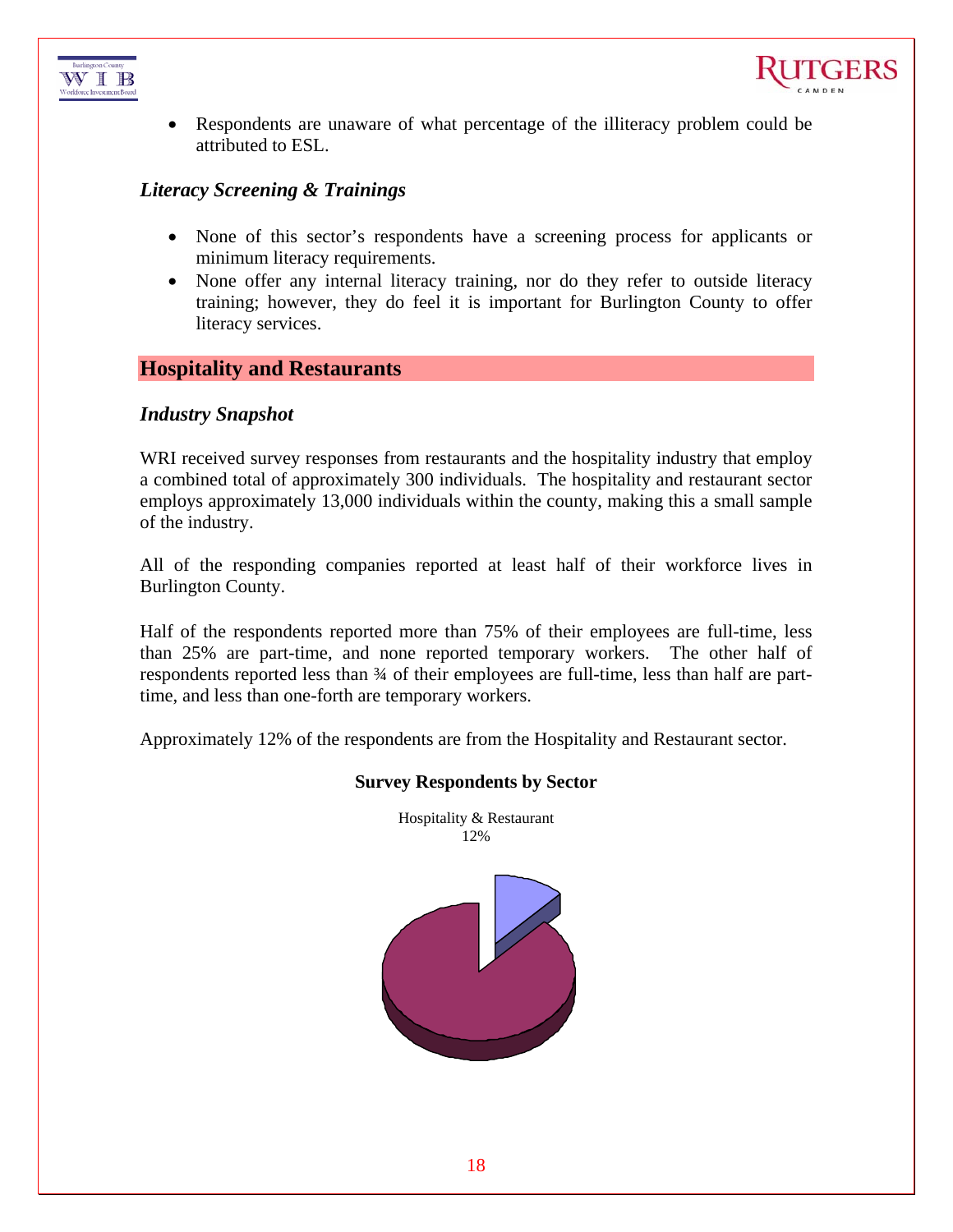



• Respondents are unaware of what percentage of the illiteracy problem could be attributed to ESL.

# *Literacy Screening & Trainings*

- None of this sector's respondents have a screening process for applicants or minimum literacy requirements.
- None offer any internal literacy training, nor do they refer to outside literacy training; however, they do feel it is important for Burlington County to offer literacy services.

# **Hospitality and Restaurants**

#### *Industry Snapshot*

WRI received survey responses from restaurants and the hospitality industry that employ a combined total of approximately 300 individuals. The hospitality and restaurant sector employs approximately 13,000 individuals within the county, making this a small sample of the industry.

All of the responding companies reported at least half of their workforce lives in Burlington County.

Half of the respondents reported more than 75% of their employees are full-time, less than 25% are part-time, and none reported temporary workers. The other half of respondents reported less than  $\frac{3}{4}$  of their employees are full-time, less than half are parttime, and less than one-forth are temporary workers.

Approximately 12% of the respondents are from the Hospitality and Restaurant sector.

#### **Survey Respondents by Sector**

Hospitality & Restaurant

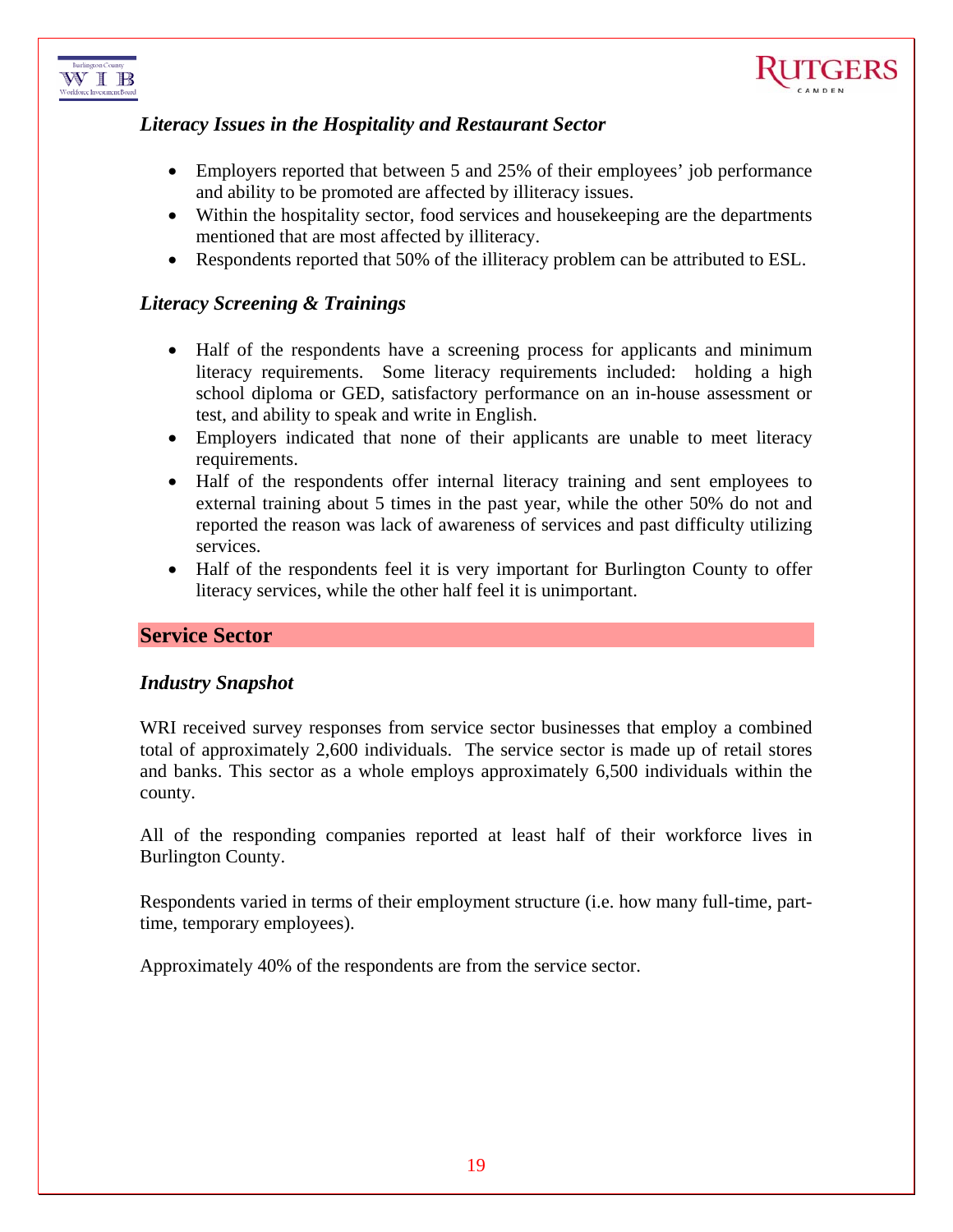

# *Literacy Issues in the Hospitality and Restaurant Sector*

- Employers reported that between 5 and 25% of their employees' job performance and ability to be promoted are affected by illiteracy issues.
- Within the hospitality sector, food services and house keeping are the departments mentioned that are most affected by illiteracy.
- Respondents reported that 50% of the illiteracy problem can be attributed to ESL.

# *Literacy Screening & Trainings*

WIB Workforce Investment Board

- Half of the respondents have a screening process for applicants and minimum literacy requirements. Some literacy requirements included: holding a high school diploma or GED, satisfactory performance on an in-house assessment or test, and ability to speak and write in English.
- Employers indicated that none of their applicants are unable to meet literacy requirements.
- Half of the respondents offer internal literacy training and sent employees to external training about 5 times in the past year, while the other 50% do not and reported the reason was lack of awareness of services and past difficulty utilizing services.
- Half of the respondents feel it is very important for Burlington County to offer literacy services, while the other half feel it is unimportant.

# **Service Sector**

#### *Industry Snapshot*

WRI received survey responses from service sector businesses that employ a combined total of approximately 2,600 individuals. The service sector is made up of retail stores and banks. This sector as a whole employs approximately 6,500 individuals within the county.

All of the responding companies reported at least half of their workforce lives in Burlington County.

Respondents varied in terms of their employment structure (i.e. how many full-time, parttime, temporary employees).

Approximately 40% of the respondents are from the service sector.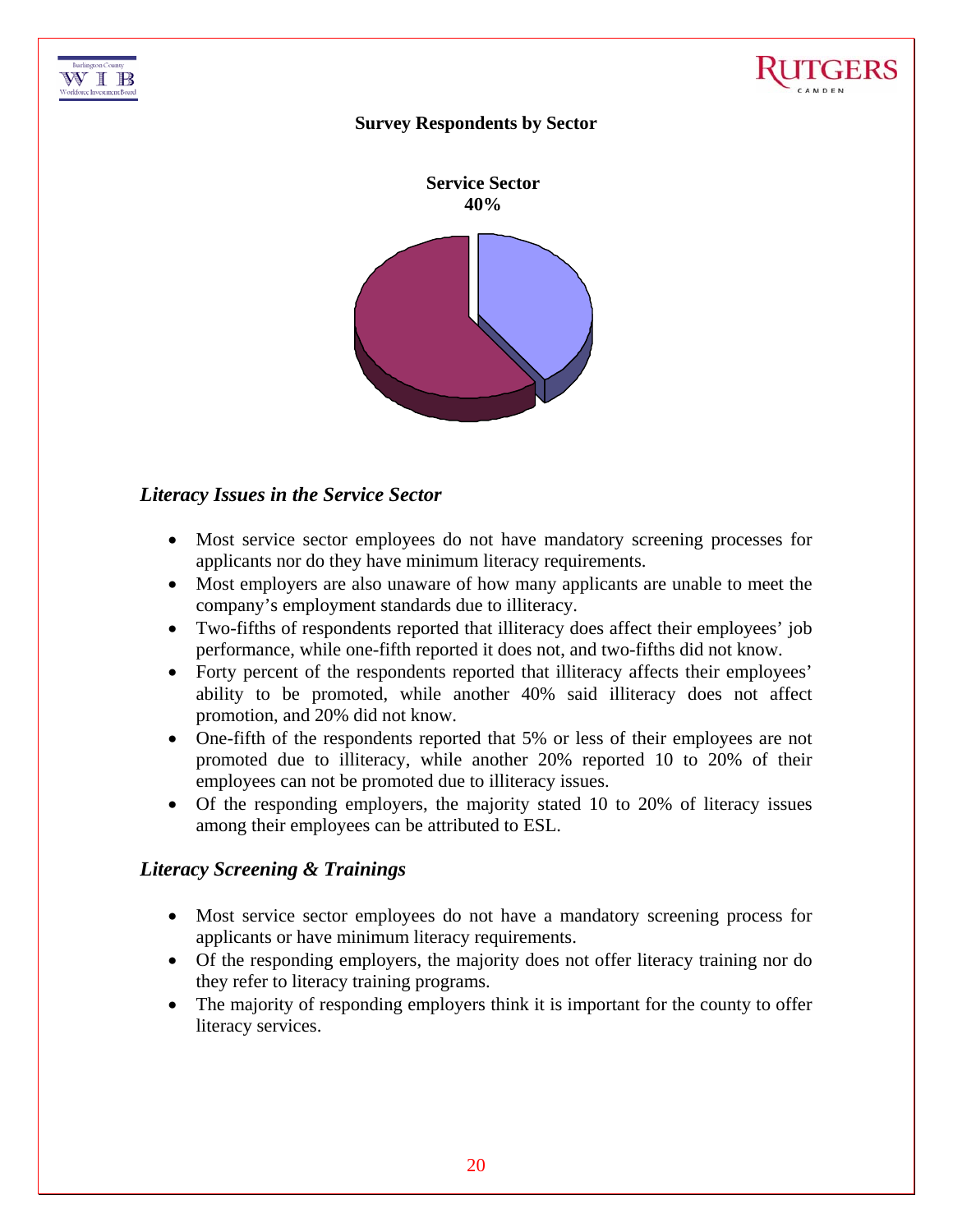

# **Survey Respondents by Sector**



# *Literacy Issues in the Service Sector*

- Most service sector employees do not have mandatory screening processes for applicants nor do they have minimum literacy requirements.
- Most employers are also unaware of how many applicants are unable to meet the company's employment standards due to illiteracy.
- Two-fifths of respondents reported that illiteracy does affect their employees' job performance, while one-fifth reported it does not, and two-fifths did not know.
- Forty percent of the respondents reported that illiteracy affects their employees' ability to be promoted, while another 40% said illiteracy does not affect promotion, and 20% did not know.
- One-fifth of the respondents reported that 5% or less of their employees are not promoted due to illiteracy, while another 20% reported 10 to 20% of their employees can not be promoted due to illiteracy issues.
- Of the responding employers, the majority stated 10 to 20% of literacy issues among their employees can be attributed to ESL.

#### *Literacy Screening & Trainings*

- Most service sector employees do not have a mandatory screening process for applicants or have minimum literacy requirements.
- Of the responding employers, the majority does not offer literacy training nor do they refer to literacy training programs.
- The majority of responding employers think it is important for the county to offer literacy services.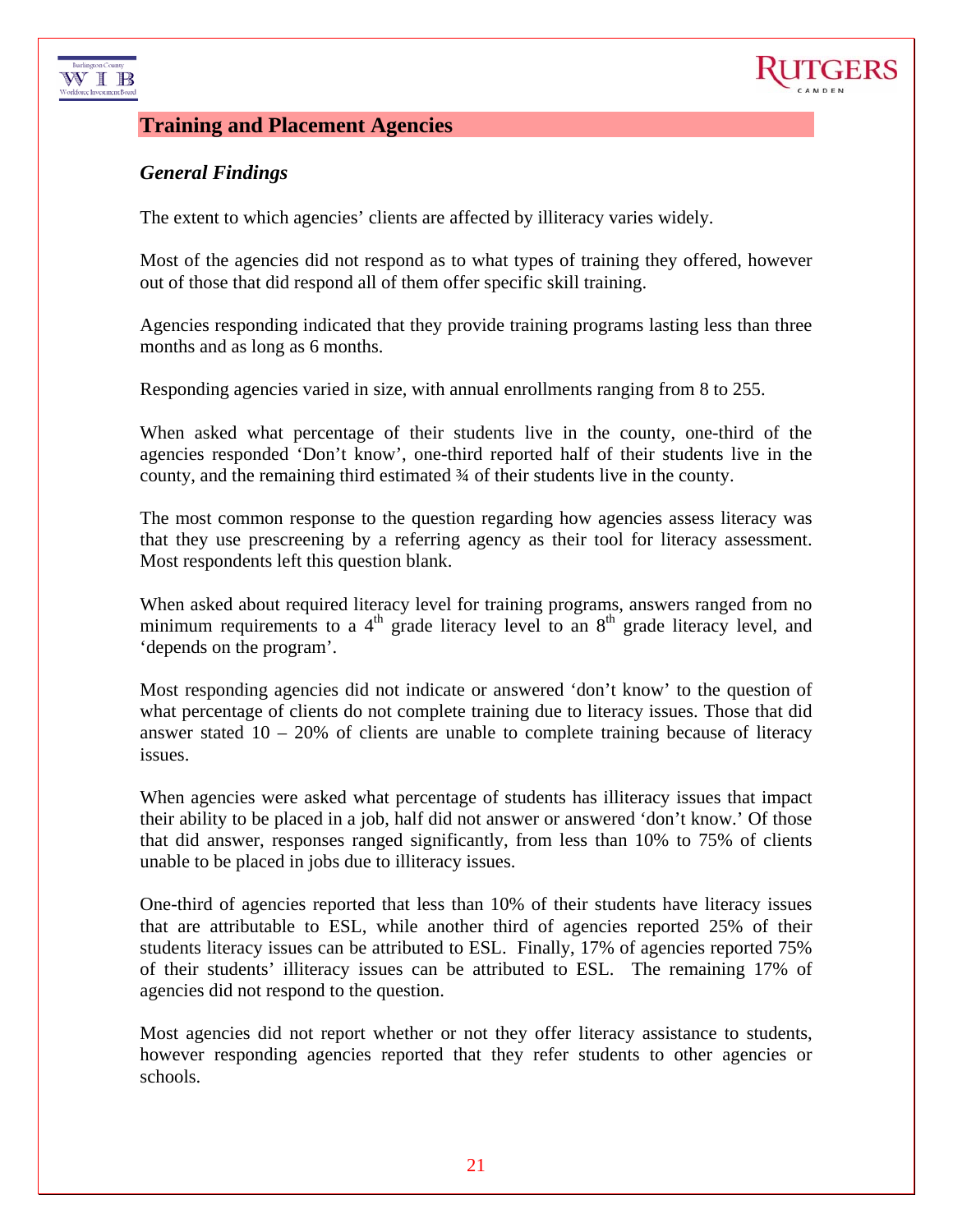

# **Training and Placement Agencies**

# *General Findings*

Workforce Investment Board

The extent to which agencies' clients are affected by illiteracy varies widely.

Most of the agencies did not respond as to what types of training they offered, however out of those that did respond all of them offer specific skill training.

Agencies responding indicated that they provide training programs lasting less than three months and as long as 6 months.

Responding agencies varied in size, with annual enrollments ranging from 8 to 255.

When asked what percentage of their students live in the county, one-third of the agencies responded 'Don't know', one-third reported half of their students live in the county, and the remaining third estimated ¾ of their students live in the county.

The most common response to the question regarding how agencies assess literacy was that they use prescreening by a referring agency as their tool for literacy assessment. Most respondents left this question blank.

When asked about required literacy level for training programs, answers ranged from no minimum requirements to a  $4<sup>th</sup>$  grade literacy level to an  $8<sup>th</sup>$  grade literacy level, and 'depends on the program'.

Most responding agencies did not indicate or answered 'don't know' to the question of what percentage of clients do not complete training due to literacy issues. Those that did answer stated  $10 - 20\%$  of clients are unable to complete training because of literacy issues.

When agencies were asked what percentage of students has illiteracy issues that impact their ability to be placed in a job, half did not answer or answered 'don't know.' Of those that did answer, responses ranged significantly, from less than 10% to 75% of clients unable to be placed in jobs due to illiteracy issues.

One-third of agencies reported that less than 10% of their students have literacy issues that are attributable to ESL, while another third of agencies reported 25% of their students literacy issues can be attributed to ESL. Finally, 17% of agencies reported 75% of their students' illiteracy issues can be attributed to ESL. The remaining 17% of agencies did not respond to the question.

Most agencies did not report whether or not they offer literacy assistance to students, however responding agencies reported that they refer students to other agencies or schools.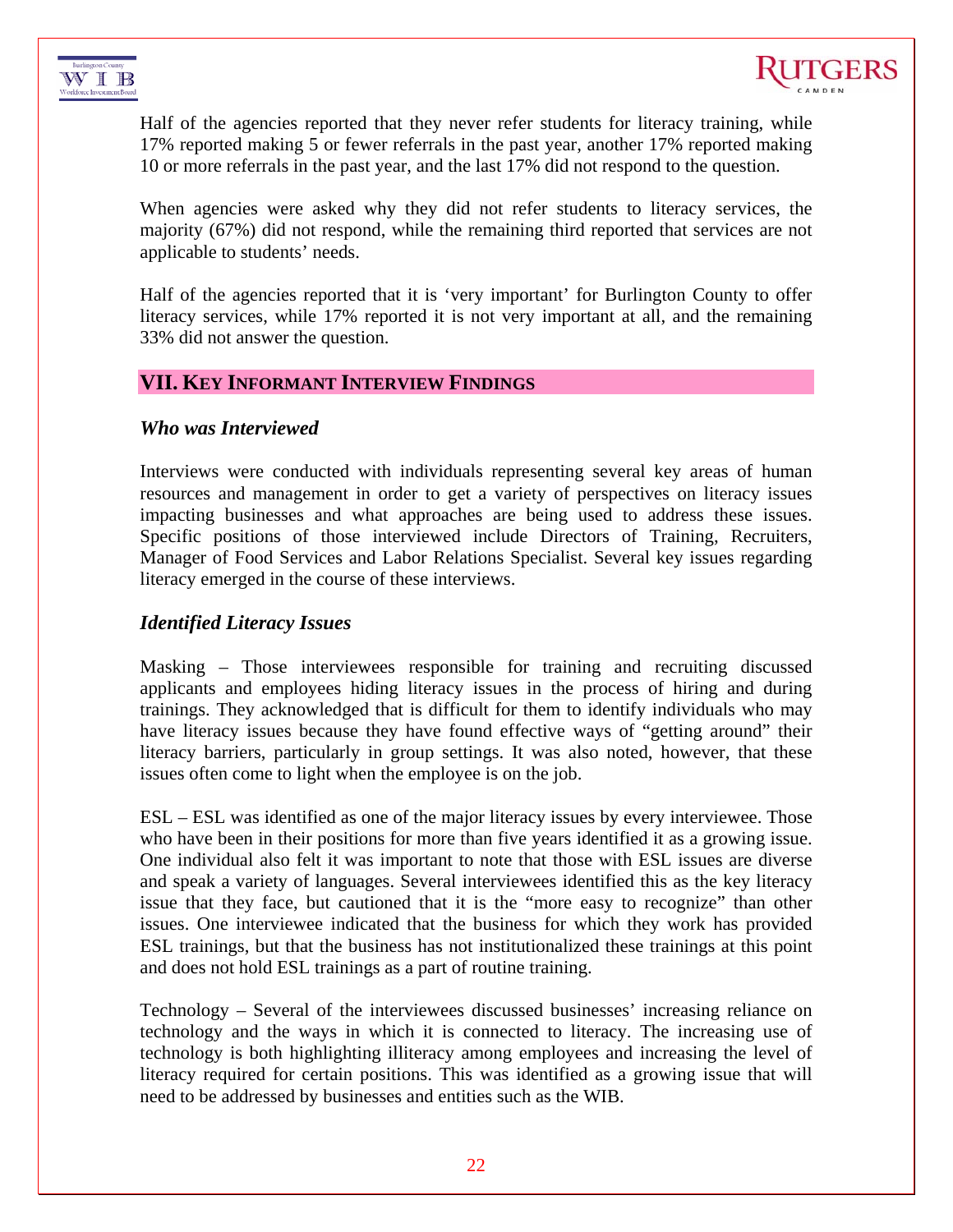



Half of the agencies reported that they never refer students for literacy training, while 17% reported making 5 or fewer referrals in the past year, another 17% reported making 10 or more referrals in the past year, and the last 17% did not respond to the question.

When agencies were asked why they did not refer students to literacy services, the majority (67%) did not respond, while the remaining third reported that services are not applicable to students' needs.

Half of the agencies reported that it is 'very important' for Burlington County to offer literacy services, while 17% reported it is not very important at all, and the remaining 33% did not answer the question.

# **VII. KEY INFORMANT INTERVIEW FINDINGS**

### *Who was Interviewed*

Interviews were conducted with individuals representing several key areas of human resources and management in order to get a variety of perspectives on literacy issues impacting businesses and what approaches are being used to address these issues. Specific positions of those interviewed include Directors of Training, Recruiters, Manager of Food Services and Labor Relations Specialist. Several key issues regarding literacy emerged in the course of these interviews.

# *Identified Literacy Issues*

Masking – Those interviewees responsible for training and recruiting discussed applicants and employees hiding literacy issues in the process of hiring and during trainings. They acknowledged that is difficult for them to identify individuals who may have literacy issues because they have found effective ways of "getting around" their literacy barriers, particularly in group settings. It was also noted, however, that these issues often come to light when the employee is on the job.

ESL – ESL was identified as one of the major literacy issues by every interviewee. Those who have been in their positions for more than five years identified it as a growing issue. One individual also felt it was important to note that those with ESL issues are diverse and speak a variety of languages. Several interviewees identified this as the key literacy issue that they face, but cautioned that it is the "more easy to recognize" than other issues. One interviewee indicated that the business for which they work has provided ESL trainings, but that the business has not institutionalized these trainings at this point and does not hold ESL trainings as a part of routine training.

Technology – Several of the interviewees discussed businesses' increasing reliance on technology and the ways in which it is connected to literacy. The increasing use of technology is both highlighting illiteracy among employees and increasing the level of literacy required for certain positions. This was identified as a growing issue that will need to be addressed by businesses and entities such as the WIB.